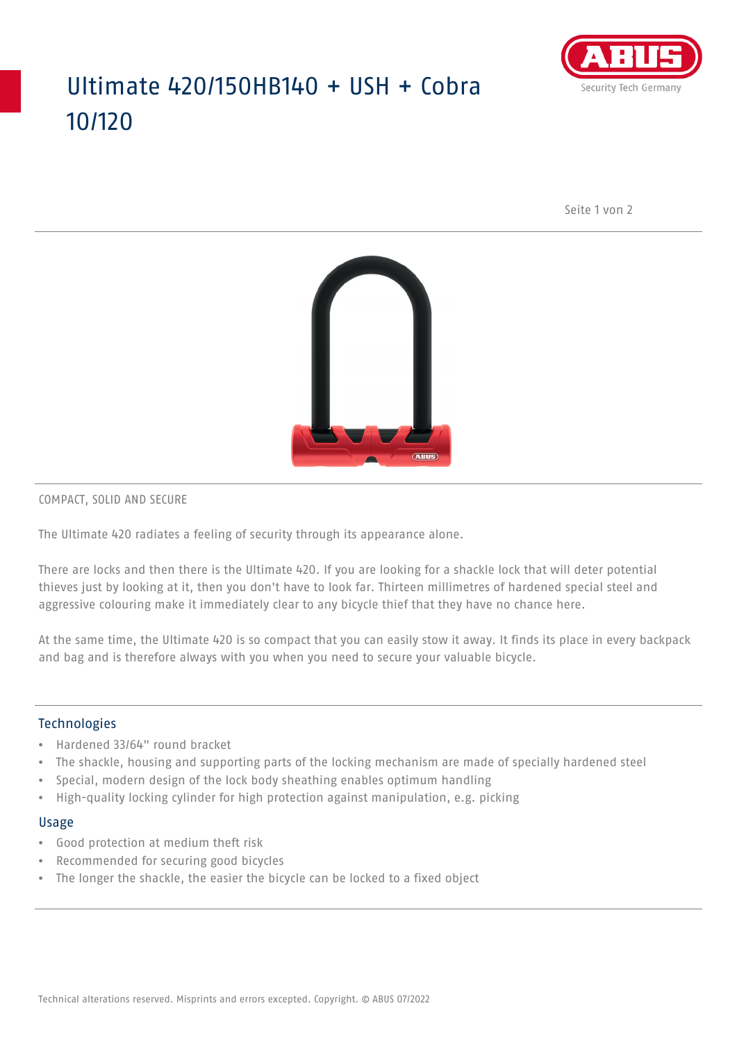## Ultimate 420/150HB140 + USH + Cobra 10/120



Seite 1 von 2



COMPACT, SOLID AND SECURE

The Ultimate 420 radiates a feeling of security through its appearance alone.

There are locks and then there is the Ultimate 420. If you are looking for a shackle lock that will deter potential thieves just by looking at it, then you don't have to look far. Thirteen millimetres of hardened special steel and aggressive colouring make it immediately clear to any bicycle thief that they have no chance here.

At the same time, the Ultimate 420 is so compact that you can easily stow it away. It finds its place in every backpack and bag and is therefore always with you when you need to secure your valuable bicycle.

#### Technologies

- Hardened 33/64" round bracket
- The shackle, housing and supporting parts of the locking mechanism are made of specially hardened steel
- Special, modern design of the lock body sheathing enables optimum handling
- High-quality locking cylinder for high protection against manipulation, e.g. picking

#### Usage

- Good protection at medium theft risk
- Recommended for securing good bicycles
- The longer the shackle, the easier the bicycle can be locked to a fixed object